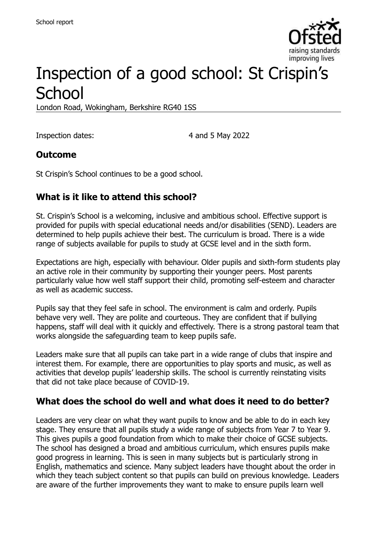

# Inspection of a good school: St Crispin's **School**

London Road, Wokingham, Berkshire RG40 1SS

Inspection dates: 4 and 5 May 2022

#### **Outcome**

St Crispin's School continues to be a good school.

### **What is it like to attend this school?**

St. Crispin's School is a welcoming, inclusive and ambitious school. Effective support is provided for pupils with special educational needs and/or disabilities (SEND). Leaders are determined to help pupils achieve their best. The curriculum is broad. There is a wide range of subjects available for pupils to study at GCSE level and in the sixth form.

Expectations are high, especially with behaviour. Older pupils and sixth-form students play an active role in their community by supporting their younger peers. Most parents particularly value how well staff support their child, promoting self-esteem and character as well as academic success.

Pupils say that they feel safe in school. The environment is calm and orderly. Pupils behave very well. They are polite and courteous. They are confident that if bullying happens, staff will deal with it quickly and effectively. There is a strong pastoral team that works alongside the safeguarding team to keep pupils safe.

Leaders make sure that all pupils can take part in a wide range of clubs that inspire and interest them. For example, there are opportunities to play sports and music, as well as activities that develop pupils' leadership skills. The school is currently reinstating visits that did not take place because of COVID-19.

#### **What does the school do well and what does it need to do better?**

Leaders are very clear on what they want pupils to know and be able to do in each key stage. They ensure that all pupils study a wide range of subjects from Year 7 to Year 9. This gives pupils a good foundation from which to make their choice of GCSE subjects. The school has designed a broad and ambitious curriculum, which ensures pupils make good progress in learning. This is seen in many subjects but is particularly strong in English, mathematics and science. Many subject leaders have thought about the order in which they teach subject content so that pupils can build on previous knowledge. Leaders are aware of the further improvements they want to make to ensure pupils learn well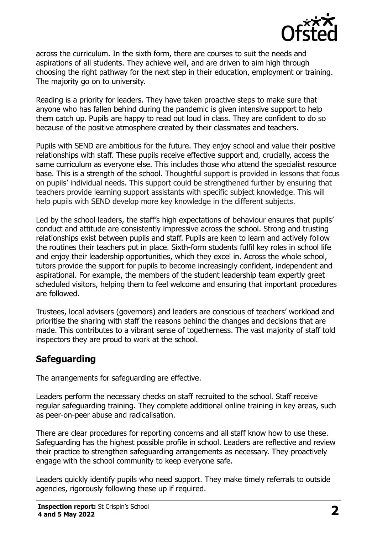

across the curriculum. In the sixth form, there are courses to suit the needs and aspirations of all students. They achieve well, and are driven to aim high through choosing the right pathway for the next step in their education, employment or training. The majority go on to university.

Reading is a priority for leaders. They have taken proactive steps to make sure that anyone who has fallen behind during the pandemic is given intensive support to help them catch up. Pupils are happy to read out loud in class. They are confident to do so because of the positive atmosphere created by their classmates and teachers.

Pupils with SEND are ambitious for the future. They enjoy school and value their positive relationships with staff. These pupils receive effective support and, crucially, access the same curriculum as everyone else. This includes those who attend the specialist resource base. This is a strength of the school. Thoughtful support is provided in lessons that focus on pupils' individual needs. This support could be strengthened further by ensuring that teachers provide learning support assistants with specific subject knowledge. This will help pupils with SEND develop more key knowledge in the different subjects.

Led by the school leaders, the staff's high expectations of behaviour ensures that pupils' conduct and attitude are consistently impressive across the school. Strong and trusting relationships exist between pupils and staff. Pupils are keen to learn and actively follow the routines their teachers put in place. Sixth-form students fulfil key roles in school life and enjoy their leadership opportunities, which they excel in. Across the whole school, tutors provide the support for pupils to become increasingly confident, independent and aspirational. For example, the members of the student leadership team expertly greet scheduled visitors, helping them to feel welcome and ensuring that important procedures are followed.

Trustees, local advisers (governors) and leaders are conscious of teachers' workload and prioritise the sharing with staff the reasons behind the changes and decisions that are made. This contributes to a vibrant sense of togetherness. The vast majority of staff told inspectors they are proud to work at the school.

# **Safeguarding**

The arrangements for safeguarding are effective.

Leaders perform the necessary checks on staff recruited to the school. Staff receive regular safeguarding training. They complete additional online training in key areas, such as peer-on-peer abuse and radicalisation.

There are clear procedures for reporting concerns and all staff know how to use these. Safeguarding has the highest possible profile in school. Leaders are reflective and review their practice to strengthen safeguarding arrangements as necessary. They proactively engage with the school community to keep everyone safe.

Leaders quickly identify pupils who need support. They make timely referrals to outside agencies, rigorously following these up if required.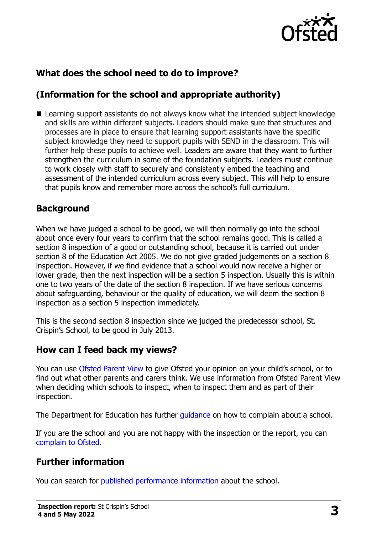

# **What does the school need to do to improve?**

# **(Information for the school and appropriate authority)**

■ Learning support assistants do not always know what the intended subject knowledge and skills are within different subjects. Leaders should make sure that structures and processes are in place to ensure that learning support assistants have the specific subject knowledge they need to support pupils with SEND in the classroom. This will further help these pupils to achieve well. Leaders are aware that they want to further strengthen the curriculum in some of the foundation subjects. Leaders must continue to work closely with staff to securely and consistently embed the teaching and assessment of the intended curriculum across every subject. This will help to ensure that pupils know and remember more across the school's full curriculum.

### **Background**

When we have judged a school to be good, we will then normally go into the school about once every four years to confirm that the school remains good. This is called a section 8 inspection of a good or outstanding school, because it is carried out under section 8 of the Education Act 2005. We do not give graded judgements on a section 8 inspection. However, if we find evidence that a school would now receive a higher or lower grade, then the next inspection will be a section 5 inspection. Usually this is within one to two years of the date of the section 8 inspection. If we have serious concerns about safeguarding, behaviour or the quality of education, we will deem the section 8 inspection as a section 5 inspection immediately.

This is the second section 8 inspection since we judged the predecessor school, St. Crispin's School, to be good in July 2013.

#### **How can I feed back my views?**

You can use [Ofsted Parent View](https://parentview.ofsted.gov.uk/) to give Ofsted your opinion on your child's school, or to find out what other parents and carers think. We use information from Ofsted Parent View when deciding which schools to inspect, when to inspect them and as part of their inspection.

The Department for Education has further quidance on how to complain about a school.

If you are the school and you are not happy with the inspection or the report, you can [complain to Ofsted.](https://www.gov.uk/complain-ofsted-report)

### **Further information**

You can search for [published performance information](http://www.compare-school-performance.service.gov.uk/) about the school.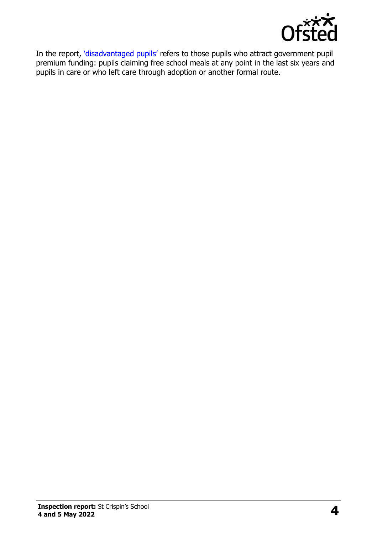

In the report, '[disadvantaged pupils](http://www.gov.uk/guidance/pupil-premium-information-for-schools-and-alternative-provision-settings)' refers to those pupils who attract government pupil premium funding: pupils claiming free school meals at any point in the last six years and pupils in care or who left care through adoption or another formal route.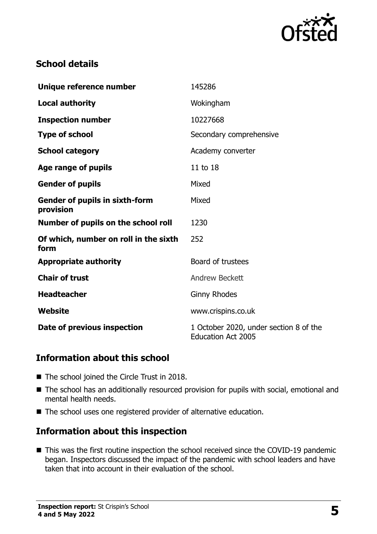

# **School details**

| Unique reference number                            | 145286                                                              |
|----------------------------------------------------|---------------------------------------------------------------------|
| <b>Local authority</b>                             | Wokingham                                                           |
| <b>Inspection number</b>                           | 10227668                                                            |
| <b>Type of school</b>                              | Secondary comprehensive                                             |
| <b>School category</b>                             | Academy converter                                                   |
| Age range of pupils                                | 11 to 18                                                            |
| <b>Gender of pupils</b>                            | Mixed                                                               |
| <b>Gender of pupils in sixth-form</b><br>provision | Mixed                                                               |
| Number of pupils on the school roll                | 1230                                                                |
| Of which, number on roll in the sixth<br>form      | 252                                                                 |
| <b>Appropriate authority</b>                       | Board of trustees                                                   |
| <b>Chair of trust</b>                              | <b>Andrew Beckett</b>                                               |
| <b>Headteacher</b>                                 | <b>Ginny Rhodes</b>                                                 |
| Website                                            | www.crispins.co.uk                                                  |
| Date of previous inspection                        | 1 October 2020, under section 8 of the<br><b>Education Act 2005</b> |

# **Information about this school**

- The school joined the Circle Trust in 2018.
- The school has an additionally resourced provision for pupils with social, emotional and mental health needs.
- The school uses one registered provider of alternative education.

# **Information about this inspection**

■ This was the first routine inspection the school received since the COVID-19 pandemic began. Inspectors discussed the impact of the pandemic with school leaders and have taken that into account in their evaluation of the school.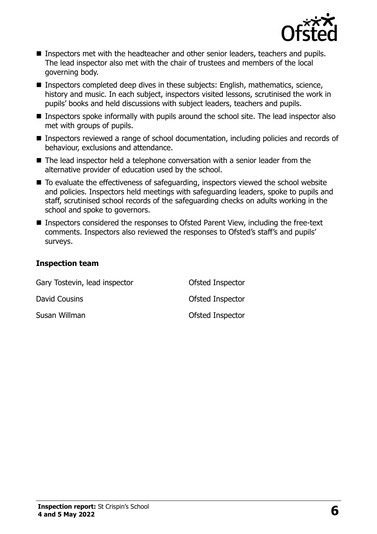

- Inspectors met with the headteacher and other senior leaders, teachers and pupils. The lead inspector also met with the chair of trustees and members of the local governing body.
- Inspectors completed deep dives in these subjects: English, mathematics, science, history and music. In each subject, inspectors visited lessons, scrutinised the work in pupils' books and held discussions with subject leaders, teachers and pupils.
- Inspectors spoke informally with pupils around the school site. The lead inspector also met with groups of pupils.
- Inspectors reviewed a range of school documentation, including policies and records of behaviour, exclusions and attendance.
- The lead inspector held a telephone conversation with a senior leader from the alternative provider of education used by the school.
- To evaluate the effectiveness of safeguarding, inspectors viewed the school website and policies. Inspectors held meetings with safeguarding leaders, spoke to pupils and staff, scrutinised school records of the safeguarding checks on adults working in the school and spoke to governors.
- Inspectors considered the responses to Ofsted Parent View, including the free-text comments. Inspectors also reviewed the responses to Ofsted's staff's and pupils' surveys.

#### **Inspection team**

| Gary Tostevin, lead inspector | Ofsted Inspector |  |
|-------------------------------|------------------|--|
| David Cousins                 | Ofsted Inspector |  |
| Susan Willman                 | Ofsted Inspector |  |